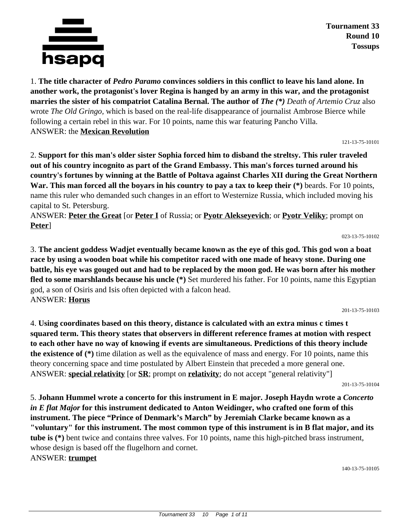

**Tournament 33 Round 10 Tossups**

1. **The title character of** *Pedro Paramo* **convinces soldiers in this conflict to leave his land alone. In another work, the protagonist's lover Regina is hanged by an army in this war, and the protagonist marries the sister of his compatriot Catalina Bernal. The author of** *The (\*) Death of Artemio Cruz* also wrote *The Old Gringo,* which is based on the real-life disappearance of journalist Ambrose Bierce while following a certain rebel in this war. For 10 points, name this war featuring Pancho Villa. ANSWER: the **Mexican Revolution**

121-13-75-10101

2. **Support for this man's older sister Sophia forced him to disband the streltsy. This ruler traveled out of his country incognito as part of the Grand Embassy. This man's forces turned around his country's fortunes by winning at the Battle of Poltava against Charles XII during the Great Northern War. This man forced all the boyars in his country to pay a tax to keep their (\*)** beards. For 10 points, name this ruler who demanded such changes in an effort to Westernize Russia, which included moving his capital to St. Petersburg.

ANSWER: **Peter the Great** [or **Peter I** of Russia; or **Pyotr Alekseyevich**; or **Pyotr Veliky**; prompt on **Peter**]

023-13-75-10102

3. **The ancient goddess Wadjet eventually became known as the eye of this god. This god won a boat race by using a wooden boat while his competitor raced with one made of heavy stone. During one battle, his eye was gouged out and had to be replaced by the moon god. He was born after his mother fled to some marshlands because his uncle (\*)** Set murdered his father. For 10 points, name this Egyptian god, a son of Osiris and Isis often depicted with a falcon head. ANSWER: **Horus**

201-13-75-10103

4. **Using coordinates based on this theory, distance is calculated with an extra minus c times t squared term. This theory states that observers in different reference frames at motion with respect to each other have no way of knowing if events are simultaneous. Predictions of this theory include the existence of (\*)** time dilation as well as the equivalence of mass and energy. For 10 points, name this theory concerning space and time postulated by Albert Einstein that preceded a more general one. ANSWER: **special relativity** [or **SR**; prompt on **relativity**; do not accept "general relativity"]

201-13-75-10104

5. **Johann Hummel wrote a concerto for this instrument in E major. Joseph Haydn wrote a** *Concerto in E flat Major* **for this instrument dedicated to Anton Weidinger, who crafted one form of this instrument. The piece "Prince of Denmark's March" by Jeremiah Clarke became known as a "voluntary" for this instrument. The most common type of this instrument is in B flat major, and its tube is (\*)** bent twice and contains three valves. For 10 points, name this high-pitched brass instrument, whose design is based off the flugelhorn and cornet.

ANSWER: **trumpet**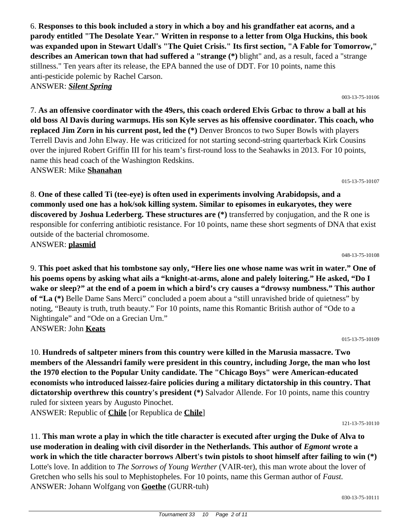6. **Responses to this book included a story in which a boy and his grandfather eat acorns, and a parody entitled "The Desolate Year." Written in response to a letter from Olga Huckins, this book was expanded upon in Stewart Udall's "The Quiet Crisis." Its first section, "A Fable for Tomorrow," describes an American town that had suffered a "strange (\*)** blight" and, as a result, faced a "strange stillness." Ten years after its release, the EPA banned the use of DDT. For 10 points, name this anti-pesticide polemic by Rachel Carson. ANSWER: *Silent Spring*

7. **As an offensive coordinator with the 49ers, this coach ordered Elvis Grbac to throw a ball at his old boss Al Davis during warmups. His son Kyle serves as his offensive coordinator. This coach, who replaced Jim Zorn in his current post, led the (\*)** Denver Broncos to two Super Bowls with players Terrell Davis and John Elway. He was criticized for not starting second-string quarterback Kirk Cousins over the injured Robert Griffin III for his team's first-round loss to the Seahawks in 2013. For 10 points, name this head coach of the Washington Redskins.

ANSWER: Mike **Shanahan**

8. **One of these called Ti (tee-eye) is often used in experiments involving Arabidopsis, and a commonly used one has a hok/sok killing system. Similar to episomes in eukaryotes, they were discovered by Joshua Lederberg. These structures are (\*)** transferred by conjugation, and the R one is responsible for conferring antibiotic resistance. For 10 points, name these short segments of DNA that exist outside of the bacterial chromosome. ANSWER: **plasmid**

048-13-75-10108

015-13-75-10107

003-13-75-10106

9. **This poet asked that his tombstone say only, "Here lies one whose name was writ in water." One of his poems opens by asking what ails a "knight-at-arms, alone and palely loitering." He asked, "Do I wake or sleep?" at the end of a poem in which a bird's cry causes a "drowsy numbness." This author of "La (\*)** Belle Dame Sans Merci" concluded a poem about a "still unravished bride of quietness" by noting, "Beauty is truth, truth beauty." For 10 points, name this Romantic British author of "Ode to a Nightingale" and "Ode on a Grecian Urn." ANSWER: John **Keats**

015-13-75-10109

10. **Hundreds of saltpeter miners from this country were killed in the Marusia massacre. Two members of the Alessandri family were president in this country, including Jorge, the man who lost the 1970 election to the Popular Unity candidate. The "Chicago Boys" were American-educated economists who introduced laissez-faire policies during a military dictatorship in this country. That dictatorship overthrew this country's president (\*)** Salvador Allende. For 10 points, name this country ruled for sixteen years by Augusto Pinochet.

ANSWER: Republic of **Chile** [or Republica de **Chile**]

121-13-75-10110

11. **This man wrote a play in which the title character is executed after urging the Duke of Alva to use moderation in dealing with civil disorder in the Netherlands. This author of** *Egmont* **wrote a work in which the title character borrows Albert's twin pistols to shoot himself after failing to win (\*)** Lotte's love. In addition to *The Sorrows of Young Werther* (VAIR-ter), this man wrote about the lover of Gretchen who sells his soul to Mephistopheles. For 10 points, name this German author of *Faust.* ANSWER: Johann Wolfgang von **Goethe** (GURR-tuh)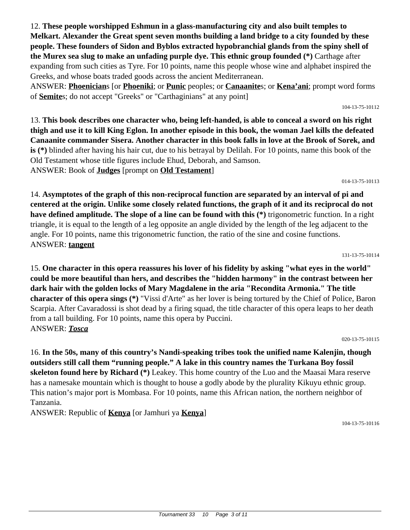12. **These people worshipped Eshmun in a glass-manufacturing city and also built temples to Melkart. Alexander the Great spent seven months building a land bridge to a city founded by these people. These founders of Sidon and Byblos extracted hypobranchial glands from the spiny shell of the Murex sea slug to make an unfading purple dye. This ethnic group founded (\*)** Carthage after expanding from such cities as Tyre. For 10 points, name this people whose wine and alphabet inspired the Greeks, and whose boats traded goods across the ancient Mediterranean.

ANSWER: **Phoenician**s [or **Phoeniki**; or **Punic** peoples; or **Canaanite**s; or **Kena'ani**; prompt word forms of **Semite**s; do not accept "Greeks" or "Carthaginians" at any point]

13. **This book describes one character who, being left-handed, is able to conceal a sword on his right thigh and use it to kill King Eglon. In another episode in this book, the woman Jael kills the defeated Canaanite commander Sisera. Another character in this book falls in love at the Brook of Sorek, and is (\*)** blinded after having his hair cut, due to his betrayal by Delilah. For 10 points, name this book of the Old Testament whose title figures include Ehud, Deborah, and Samson. ANSWER: Book of **Judges** [prompt on **Old Testament**]

14. **Asymptotes of the graph of this non-reciprocal function are separated by an interval of pi and centered at the origin. Unlike some closely related functions, the graph of it and its reciprocal do not have defined amplitude. The slope of a line can be found with this (\*)** trigonometric function. In a right triangle, it is equal to the length of a leg opposite an angle divided by the length of the leg adjacent to the angle. For 10 points, name this trigonometric function, the ratio of the sine and cosine functions. ANSWER: **tangent**

15. **One character in this opera reassures his lover of his fidelity by asking "what eyes in the world" could be more beautiful than hers, and describes the "hidden harmony" in the contrast between her dark hair with the golden locks of Mary Magdalene in the aria "Recondita Armonia." The title character of this opera sings (\*)** "Vissi d'Arte" as her lover is being tortured by the Chief of Police, Baron Scarpia. After Cavaradossi is shot dead by a firing squad, the title character of this opera leaps to her death from a tall building. For 10 points, name this opera by Puccini. ANSWER: *Tosca*

16. **In the 50s, many of this country's Nandi-speaking tribes took the unified name Kalenjin, though outsiders still call them "running people." A lake in this country names the Turkana Boy fossil skeleton found here by Richard (\*)** Leakey. This home country of the Luo and the Maasai Mara reserve has a namesake mountain which is thought to house a godly abode by the plurality Kikuyu ethnic group. This nation's major port is Mombasa. For 10 points, name this African nation, the northern neighbor of Tanzania.

ANSWER: Republic of **Kenya** [or Jamhuri ya **Kenya**]

104-13-75-10116

#### 104-13-75-10112

131-13-75-10114

020-13-75-10115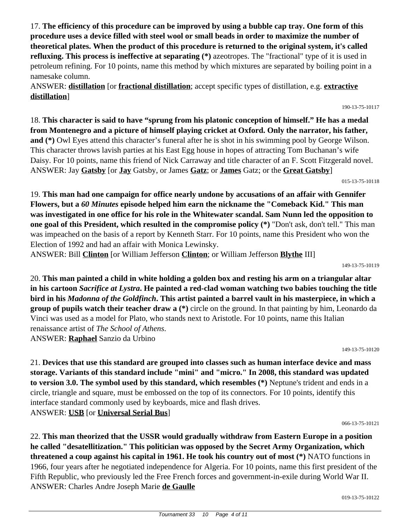17. **The efficiency of this procedure can be improved by using a bubble cap tray. One form of this procedure uses a device filled with steel wool or small beads in order to maximize the number of theoretical plates. When the product of this procedure is returned to the original system, it's called refluxing. This process is ineffective at separating (\*)** azeotropes. The "fractional" type of it is used in petroleum refining. For 10 points, name this method by which mixtures are separated by boiling point in a namesake column.

ANSWER: **distillation** [or **fractional distillation**; accept specific types of distillation, e.g. **extractive distillation**]

## 18. **This character is said to have "sprung from his platonic conception of himself." He has a medal from Montenegro and a picture of himself playing cricket at Oxford. Only the narrator, his father, and (\*)** Owl Eyes attend this character's funeral after he is shot in his swimming pool by George Wilson. This character throws lavish parties at his East Egg house in hopes of attracting Tom Buchanan's wife Daisy. For 10 points, name this friend of Nick Carraway and title character of an F. Scott Fitzgerald novel. ANSWER: Jay **Gatsby** [or **Jay** Gatsby, or James **Gatz**; or **James** Gatz; or the **Great Gatsby**]

015-13-75-10118

190-13-75-10117

19. **This man had one campaign for office nearly undone by accusations of an affair with Gennifer Flowers, but a** *60 Minutes* **episode helped him earn the nickname the "Comeback Kid." This man was investigated in one office for his role in the Whitewater scandal. Sam Nunn led the opposition to one goal of this President, which resulted in the compromise policy (\*)** "Don't ask, don't tell." This man was impeached on the basis of a report by Kenneth Starr. For 10 points, name this President who won the Election of 1992 and had an affair with Monica Lewinsky.

ANSWER: Bill **Clinton** [or William Jefferson **Clinton**; or William Jefferson **Blythe** III]

149-13-75-10119

20. **This man painted a child in white holding a golden box and resting his arm on a triangular altar in his cartoon** *Sacrifice at Lystra***. He painted a red-clad woman watching two babies touching the title bird in his** *Madonna of the Goldfinch***. This artist painted a barrel vault in his masterpiece, in which a group of pupils watch their teacher draw a (\*)** circle on the ground. In that painting by him, Leonardo da Vinci was used as a model for Plato, who stands next to Aristotle. For 10 points, name this Italian renaissance artist of *The School of Athens*. ANSWER: **Raphael** Sanzio da Urbino

149-13-75-10120

21. **Devices that use this standard are grouped into classes such as human interface device and mass storage. Variants of this standard include "mini" and "micro." In 2008, this standard was updated to version 3.0. The symbol used by this standard, which resembles (\*)** Neptune's trident and ends in a circle, triangle and square, must be embossed on the top of its connectors. For 10 points, identify this interface standard commonly used by keyboards, mice and flash drives. ANSWER: **USB** [or **Universal Serial Bus**]

066-13-75-10121

22. **This man theorized that the USSR would gradually withdraw from Eastern Europe in a position he called "desatellitization." This politician was opposed by the Secret Army Organization, which threatened a coup against his capital in 1961. He took his country out of most (\*)** NATO functions in 1966, four years after he negotiated independence for Algeria. For 10 points, name this first president of the Fifth Republic, who previously led the Free French forces and government-in-exile during World War II. ANSWER: Charles Andre Joseph Marie **de Gaulle**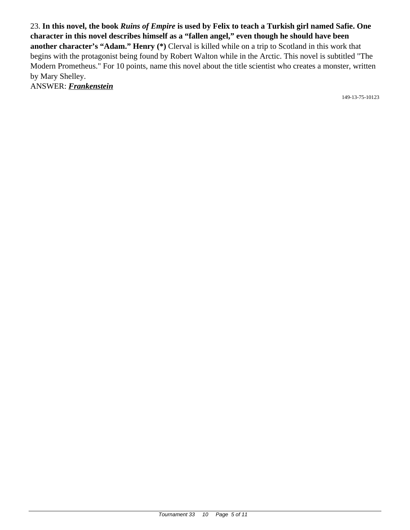23. **In this novel, the book** *Ruins of Empire* **is used by Felix to teach a Turkish girl named Safie. One character in this novel describes himself as a "fallen angel," even though he should have been another character's "Adam." Henry (\*)** Clerval is killed while on a trip to Scotland in this work that begins with the protagonist being found by Robert Walton while in the Arctic. This novel is subtitled "The Modern Prometheus." For 10 points, name this novel about the title scientist who creates a monster, written by Mary Shelley.

ANSWER: *Frankenstein*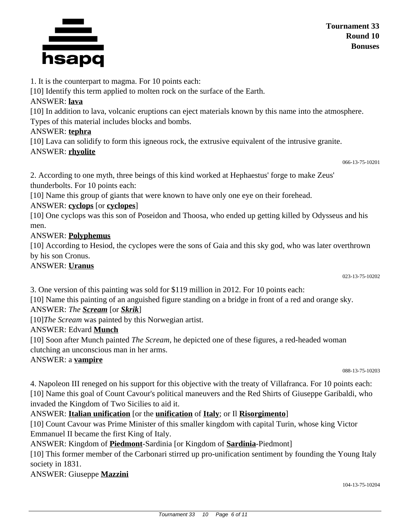

1. It is the counterpart to magma. For 10 points each:

[10] Identify this term applied to molten rock on the surface of the Earth.

# ANSWER: **lava**

[10] In addition to lava, volcanic eruptions can eject materials known by this name into the atmosphere. Types of this material includes blocks and bombs.

# ANSWER: **tephra**

[10] Lava can solidify to form this igneous rock, the extrusive equivalent of the intrusive granite. ANSWER: **rhyolite**

2. According to one myth, three beings of this kind worked at Hephaestus' forge to make Zeus' thunderbolts. For 10 points each:

[10] Name this group of giants that were known to have only one eye on their forehead.

# ANSWER: **cyclops** [or **cyclopes**]

[10] One cyclops was this son of Poseidon and Thoosa, who ended up getting killed by Odysseus and his men.

# ANSWER: **Polyphemus**

[10] According to Hesiod, the cyclopes were the sons of Gaia and this sky god, who was later overthrown by his son Cronus.

# ANSWER: **Uranus**

023-13-75-10202

3. One version of this painting was sold for \$119 million in 2012. For 10 points each:

[10] Name this painting of an anguished figure standing on a bridge in front of a red and orange sky.

# ANSWER: *The Scream* [or *Skrik*]

[10]*The Scream* was painted by this Norwegian artist.

# ANSWER: Edvard **Munch**

[10] Soon after Munch painted *The Scream*, he depicted one of these figures, a red-headed woman clutching an unconscious man in her arms.

# ANSWER: a **vampire**

088-13-75-10203

4. Napoleon III reneged on his support for this objective with the treaty of Villafranca. For 10 points each: [10] Name this goal of Count Cavour's political maneuvers and the Red Shirts of Giuseppe Garibaldi, who invaded the Kingdom of Two Sicilies to aid it.

ANSWER: **Italian unification** [or the **unification** of **Italy**; or Il **Risorgimento**]

[10] Count Cavour was Prime Minister of this smaller kingdom with capital Turin, whose king Victor Emmanuel II became the first King of Italy.

ANSWER: Kingdom of **Piedmont**-Sardinia [or Kingdom of **Sardinia**-Piedmont]

[10] This former member of the Carbonari stirred up pro-unification sentiment by founding the Young Italy society in 1831.

ANSWER: Giuseppe **Mazzini**

066-13-75-10201

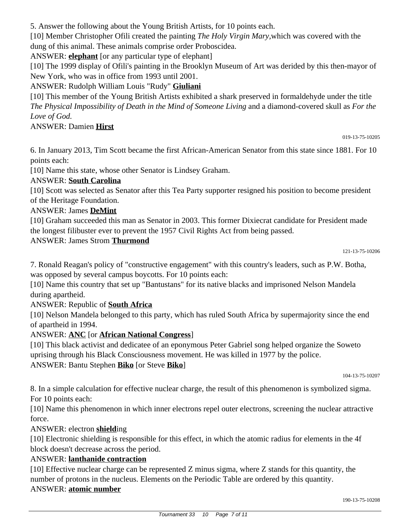5. Answer the following about the Young British Artists, for 10 points each.

[10] Member Christopher Ofili created the painting *The Holy Virgin Mary,*which was covered with the dung of this animal. These animals comprise order Proboscidea.

ANSWER: **elephant** [or any particular type of elephant]

[10] The 1999 display of Ofili's painting in the Brooklyn Museum of Art was derided by this then-mayor of New York, who was in office from 1993 until 2001.

ANSWER: Rudolph William Louis "Rudy" **Giuliani**

[10] This member of the Young British Artists exhibited a shark preserved in formaldehyde under the title *The Physical Impossibility of Death in the Mind of Someone Living* and a diamond-covered skull as *For the Love of God.*

#### ANSWER: Damien **Hirst**

019-13-75-10205

6. In January 2013, Tim Scott became the first African-American Senator from this state since 1881. For 10 points each:

[10] Name this state, whose other Senator is Lindsey Graham.

#### ANSWER: **South Carolina**

[10] Scott was selected as Senator after this Tea Party supporter resigned his position to become president of the Heritage Foundation.

### ANSWER: James **DeMint**

[10] Graham succeeded this man as Senator in 2003. This former Dixiecrat candidate for President made the longest filibuster ever to prevent the 1957 Civil Rights Act from being passed.

#### ANSWER: James Strom **Thurmond**

7. Ronald Reagan's policy of "constructive engagement" with this country's leaders, such as P.W. Botha, was opposed by several campus boycotts. For 10 points each:

[10] Name this country that set up "Bantustans" for its native blacks and imprisoned Nelson Mandela during apartheid.

### ANSWER: Republic of **South Africa**

[10] Nelson Mandela belonged to this party, which has ruled South Africa by supermajority since the end of apartheid in 1994.

### ANSWER: **ANC** [or **African National Congress**]

[10] This black activist and dedicatee of an eponymous Peter Gabriel song helped organize the Soweto uprising through his Black Consciousness movement. He was killed in 1977 by the police. ANSWER: Bantu Stephen **Biko** [or Steve **Biko**]

104-13-75-10207

8. In a simple calculation for effective nuclear charge, the result of this phenomenon is symbolized sigma. For 10 points each:

[10] Name this phenomenon in which inner electrons repel outer electrons, screening the nuclear attractive force.

### ANSWER: electron **shield**ing

[10] Electronic shielding is responsible for this effect, in which the atomic radius for elements in the 4f block doesn't decrease across the period.

### ANSWER: **lanthanide contraction**

[10] Effective nuclear charge can be represented Z minus sigma, where Z stands for this quantity, the number of protons in the nucleus. Elements on the Periodic Table are ordered by this quantity. ANSWER: **atomic number**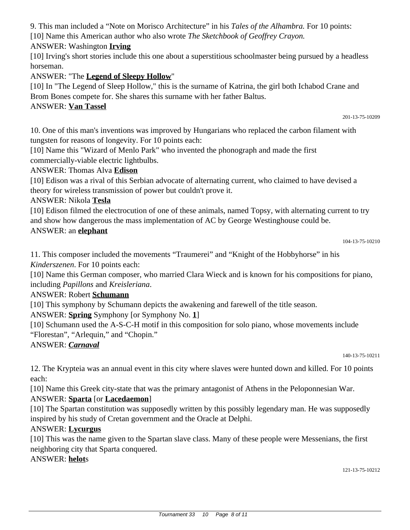9. This man included a "Note on Morisco Architecture" in his *Tales of the Alhambra.* For 10 points: [10] Name this American author who also wrote *The Sketchbook of Geoffrey Crayon.*

ANSWER: Washington **Irving**

[10] Irving's short stories include this one about a superstitious schoolmaster being pursued by a headless horseman.

ANSWER: "The **Legend of Sleepy Hollow**"

[10] In "The Legend of Sleep Hollow," this is the surname of Katrina, the girl both Ichabod Crane and Brom Bones compete for. She shares this surname with her father Baltus.

### ANSWER: **Van Tassel**

201-13-75-10209

10. One of this man's inventions was improved by Hungarians who replaced the carbon filament with tungsten for reasons of longevity. For 10 points each:

[10] Name this "Wizard of Menlo Park" who invented the phonograph and made the first commercially-viable electric lightbulbs.

### ANSWER: Thomas Alva **Edison**

[10] Edison was a rival of this Serbian advocate of alternating current, who claimed to have devised a theory for wireless transmission of power but couldn't prove it.

### ANSWER: Nikola **Tesla**

[10] Edison filmed the electrocution of one of these animals, named Topsy, with alternating current to try and show how dangerous the mass implementation of AC by George Westinghouse could be.

### ANSWER: an **elephant**

```
104-13-75-10210
```
11. This composer included the movements "Traumerei" and "Knight of the Hobbyhorse" in his *Kinderszenen*. For 10 points each:

[10] Name this German composer, who married Clara Wieck and is known for his compositions for piano, including *Papillons* and *Kreisleriana*.

### ANSWER: Robert **Schumann**

[10] This symphony by Schumann depicts the awakening and farewell of the title season.

ANSWER: **Spring** Symphony [or Symphony No. **1**]

[10] Schumann used the A-S-C-H motif in this composition for solo piano, whose movements include "Florestan", "Arlequin," and "Chopin."

ANSWER: *Carnaval*

140-13-75-10211

12. The Krypteia was an annual event in this city where slaves were hunted down and killed. For 10 points each:

[10] Name this Greek city-state that was the primary antagonist of Athens in the Peloponnesian War.

### ANSWER: **Sparta** [or **Lacedaemon**]

[10] The Spartan constitution was supposedly written by this possibly legendary man. He was supposedly inspired by his study of Cretan government and the Oracle at Delphi.

### ANSWER: **Lycurgus**

[10] This was the name given to the Spartan slave class. Many of these people were Messenians, the first neighboring city that Sparta conquered.

### ANSWER: **helot**s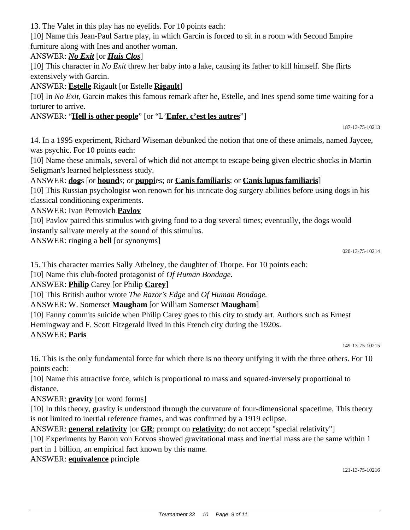13. The Valet in this play has no eyelids. For 10 points each:

[10] Name this Jean-Paul Sartre play, in which Garcin is forced to sit in a room with Second Empire furniture along with Ines and another woman.

### ANSWER: *No Exit* [or *Huis Clos*]

[10] This character in *No Exit* threw her baby into a lake, causing its father to kill himself. She flirts extensively with Garcin.

### ANSWER: **Estelle** Rigault [or Estelle **Rigault**]

[10] In *No Exit*, Garcin makes this famous remark after he, Estelle, and Ines spend some time waiting for a torturer to arrive.

### ANSWER: "**Hell is other people**" [or "L'**Enfer, c'est les autres**"]

14. In a 1995 experiment, Richard Wiseman debunked the notion that one of these animals, named Jaycee, was psychic. For 10 points each:

[10] Name these animals, several of which did not attempt to escape being given electric shocks in Martin Seligman's learned helplessness study.

### ANSWER: **dog**s [or **hound**s; or **puppi**es; or **Canis familiaris**; or **Canis lupus familiaris**]

[10] This Russian psychologist won renown for his intricate dog surgery abilities before using dogs in his classical conditioning experiments.

### ANSWER: Ivan Petrovich **Pavlov**

[10] Pavlov paired this stimulus with giving food to a dog several times; eventually, the dogs would instantly salivate merely at the sound of this stimulus.

ANSWER: ringing a **bell** [or synonyms]

020-13-75-10214

187-13-75-10213

15. This character marries Sally Athelney, the daughter of Thorpe. For 10 points each:

[10] Name this club-footed protagonist of *Of Human Bondage.*

### ANSWER: **Philip** Carey [or Philip **Carey**]

[10] This British author wrote *The Razor's Edge* and *Of Human Bondage.*

### ANSWER: W. Somerset **Maugham** [or William Somerset **Maugham**]

[10] Fanny commits suicide when Philip Carey goes to this city to study art. Authors such as Ernest

Hemingway and F. Scott Fitzgerald lived in this French city during the 1920s.

### ANSWER: **Paris**

149-13-75-10215

16. This is the only fundamental force for which there is no theory unifying it with the three others. For 10 points each:

[10] Name this attractive force, which is proportional to mass and squared-inversely proportional to distance.

ANSWER: **gravity** [or word forms]

[10] In this theory, gravity is understood through the curvature of four-dimensional spacetime. This theory is not limited to inertial reference frames, and was confirmed by a 1919 eclipse.

ANSWER: **general relativity** [or **GR**; prompt on **relativity**; do not accept "special relativity"]

[10] Experiments by Baron von Eotvos showed gravitational mass and inertial mass are the same within 1 part in 1 billion, an empirical fact known by this name.

### ANSWER: **equivalence** principle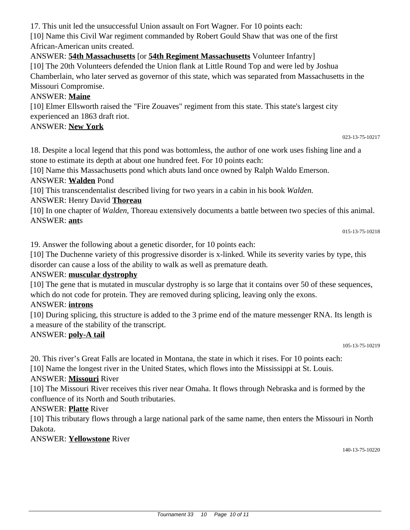17. This unit led the unsuccessful Union assault on Fort Wagner. For 10 points each:

[10] Name this Civil War regiment commanded by Robert Gould Shaw that was one of the first African-American units created.

ANSWER: **54th Massachusetts** [or **54th Regiment Massachusetts** Volunteer Infantry]

[10] The 20th Volunteers defended the Union flank at Little Round Top and were led by Joshua Chamberlain, who later served as governor of this state, which was separated from Massachusetts in the Missouri Compromise.

### ANSWER: **Maine**

[10] Elmer Ellsworth raised the "Fire Zouaves" regiment from this state. This state's largest city experienced an 1863 draft riot.

#### ANSWER: **New York**

023-13-75-10217

18. Despite a local legend that this pond was bottomless, the author of one work uses fishing line and a stone to estimate its depth at about one hundred feet. For 10 points each:

[10] Name this Massachusetts pond which abuts land once owned by Ralph Waldo Emerson.

ANSWER: **Walden** Pond

[10] This transcendentalist described living for two years in a cabin in his book *Walden.*

ANSWER: Henry David **Thoreau**

[10] In one chapter of *Walden,* Thoreau extensively documents a battle between two species of this animal. ANSWER: **ant**s

015-13-75-10218

19. Answer the following about a genetic disorder, for 10 points each:

[10] The Duchenne variety of this progressive disorder is x-linked. While its severity varies by type, this disorder can cause a loss of the ability to walk as well as premature death.

### ANSWER: **muscular dystrophy**

[10] The gene that is mutated in muscular dystrophy is so large that it contains over 50 of these sequences, which do not code for protein. They are removed during splicing, leaving only the exons.

### ANSWER: **introns**

[10] During splicing, this structure is added to the 3 prime end of the mature messenger RNA. Its length is a measure of the stability of the transcript.

### ANSWER: **poly-A tail**

105-13-75-10219

20. This river's Great Falls are located in Montana, the state in which it rises. For 10 points each:

[10] Name the longest river in the United States, which flows into the Mississippi at St. Louis.

### ANSWER: **Missouri** River

[10] The Missouri River receives this river near Omaha. It flows through Nebraska and is formed by the confluence of its North and South tributaries.

### ANSWER: **Platte** River

[10] This tributary flows through a large national park of the same name, then enters the Missouri in North Dakota.

#### ANSWER: **Yellowstone** River